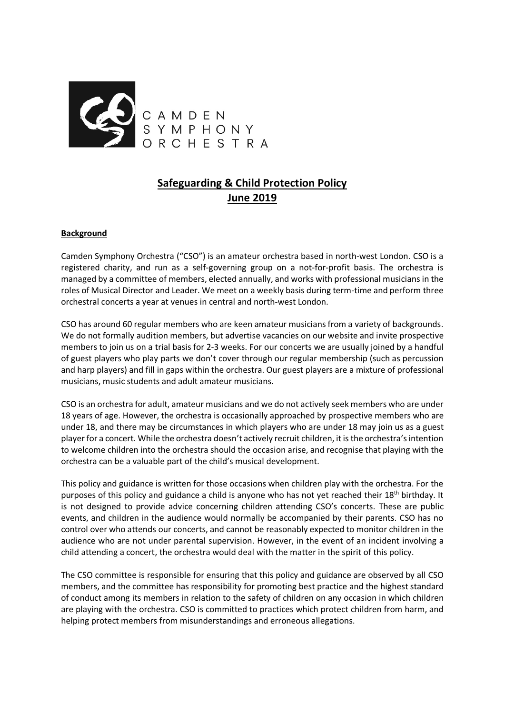

# **Safeguarding & Child Protection Policy June 2019**

### **Background**

Camden Symphony Orchestra ("CSO") is an amateur orchestra based in north-west London. CSO is a registered charity, and run as a self-governing group on a not-for-profit basis. The orchestra is managed by a committee of members, elected annually, and works with professional musicians in the roles of Musical Director and Leader. We meet on a weekly basis during term-time and perform three orchestral concerts a year at venues in central and north-west London.

CSO has around 60 regular members who are keen amateur musicians from a variety of backgrounds. We do not formally audition members, but advertise vacancies on our website and invite prospective members to join us on a trial basis for 2-3 weeks. For our concerts we are usually joined by a handful of guest players who play parts we don't cover through our regular membership (such as percussion and harp players) and fill in gaps within the orchestra. Our guest players are a mixture of professional musicians, music students and adult amateur musicians.

CSO is an orchestra for adult, amateur musicians and we do not actively seek members who are under 18 years of age. However, the orchestra is occasionally approached by prospective members who are under 18, and there may be circumstances in which players who are under 18 may join us as a guest player for a concert. While the orchestra doesn't actively recruit children, it is the orchestra's intention to welcome children into the orchestra should the occasion arise, and recognise that playing with the orchestra can be a valuable part of the child's musical development.

This policy and guidance is written for those occasions when children play with the orchestra. For the purposes of this policy and guidance a child is anyone who has not yet reached their 18<sup>th</sup> birthday. It is not designed to provide advice concerning children attending CSO's concerts. These are public events, and children in the audience would normally be accompanied by their parents. CSO has no control over who attends our concerts, and cannot be reasonably expected to monitor children in the audience who are not under parental supervision. However, in the event of an incident involving a child attending a concert, the orchestra would deal with the matter in the spirit of this policy.

The CSO committee is responsible for ensuring that this policy and guidance are observed by all CSO members, and the committee has responsibility for promoting best practice and the highest standard of conduct among its members in relation to the safety of children on any occasion in which children are playing with the orchestra. CSO is committed to practices which protect children from harm, and helping protect members from misunderstandings and erroneous allegations.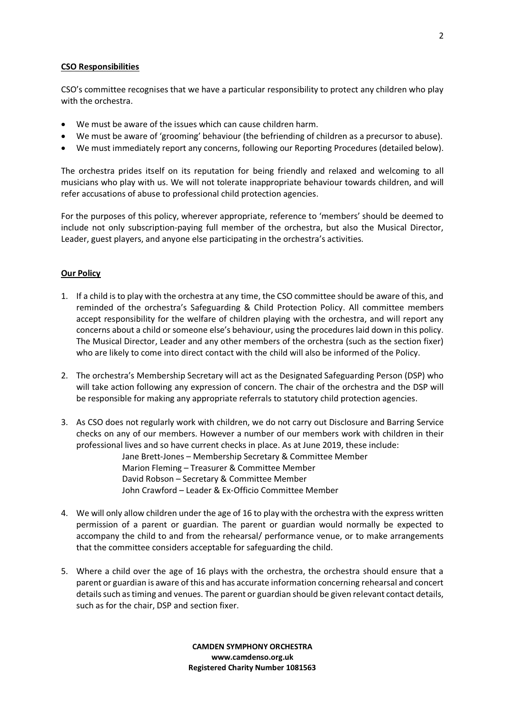### CSO Responsibilities

CSO's committee recognises that we have a particular responsibility to protect any children who play with the orchestra.

- We must be aware of the issues which can cause children harm.
- We must be aware of 'grooming' behaviour (the befriending of children as a precursor to abuse).
- � We must immediately report any concerns, following our Reporting Procedures (detailed below).

The orchestra prides itself on its reputation for being friendly and relaxed and welcoming to all musicians who play with us. We will not tolerate inappropriate behaviour towards children, and will refer accusations of abuse to professional child protection agencies.

For the purposes of this policy, wherever appropriate, reference to 'members' should be deemed to include not only subscription-paying full member of the orchestra, but also the Musical Director, Leader, guest players, and anyone else participating in the orchestra's activities.

# Our Policy

- 1. If a child is to play with the orchestra at any time, the CSO committee should be aware of this, and reminded of the orchestra's Safeguarding & Child Protection Policy. All committee members accept responsibility for the welfare of children playing with the orchestra, and will report any concerns about a child or someone else's behaviour, using the procedures laid down in this policy. The Musical Director, Leader and any other members of the orchestra (such as the section fixer) who are likely to come into direct contact with the child will also be informed of the Policy.
- 2. The orchestra's Membership Secretary will act as the Designated Safeguarding Person (DSP) who will take action following any expression of concern. The chair of the orchestra and the DSP will be responsible for making any appropriate referrals to statutory child protection agencies.
- 3. As CSO does not regularly work with children, we do not carry out Disclosure and Barring Service checks on any of our members. However a number of our members work with children in their professional lives and so have current checks in place. As at June 2019, these include:

Jane Brett-Jones – Membership Secretary & Committee Member Marion Fleming – Treasurer & Committee Member David Robson – Secretary & Committee Member John Crawford – Leader & Ex-Officio Committee Member

- 4. We will only allow children under the age of 16 to play with the orchestra with the express written permission of a parent or guardian. The parent or guardian would normally be expected to accompany the child to and from the rehearsal/ performance venue, or to make arrangements that the committee considers acceptable for safeguarding the child.
- 5. Where a child over the age of 16 plays with the orchestra, the orchestra should ensure that a parent or guardian is aware of this and has accurate information concerning rehearsal and concert details such as timing and venues. The parent or guardian should be given relevant contact details, such as for the chair, DSP and section fixer.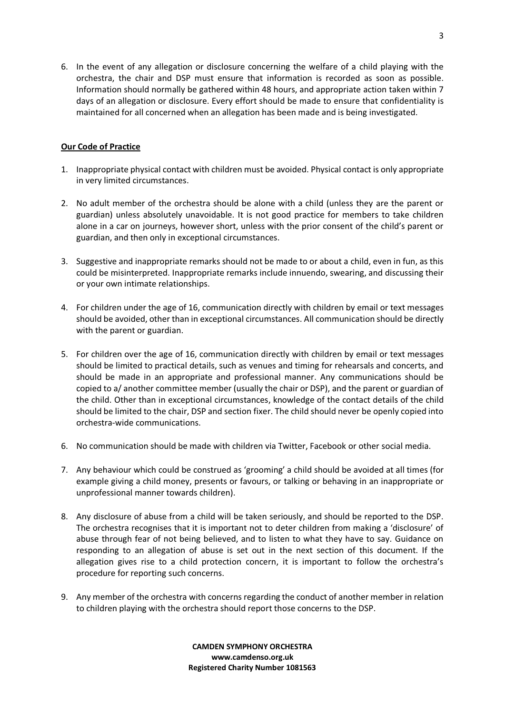6. In the event of any allegation or disclosure concerning the welfare of a child playing with the orchestra, the chair and DSP must ensure that information is recorded as soon as possible. Information should normally be gathered within 48 hours, and appropriate action taken within 7 days of an allegation or disclosure. Every effort should be made to ensure that confidentiality is maintained for all concerned when an allegation has been made and is being investigated.

# Our Code of Practice

- 1. Inappropriate physical contact with children must be avoided. Physical contact is only appropriate in very limited circumstances.
- 2. No adult member of the orchestra should be alone with a child (unless they are the parent or guardian) unless absolutely unavoidable. It is not good practice for members to take children alone in a car on journeys, however short, unless with the prior consent of the child's parent or guardian, and then only in exceptional circumstances.
- 3. Suggestive and inappropriate remarks should not be made to or about a child, even in fun, as this could be misinterpreted. Inappropriate remarks include innuendo, swearing, and discussing their or your own intimate relationships.
- 4. For children under the age of 16, communication directly with children by email or text messages should be avoided, other than in exceptional circumstances. All communication should be directly with the parent or guardian.
- 5. For children over the age of 16, communication directly with children by email or text messages should be limited to practical details, such as venues and timing for rehearsals and concerts, and should be made in an appropriate and professional manner. Any communications should be copied to a/ another committee member (usually the chair or DSP), and the parent or guardian of the child. Other than in exceptional circumstances, knowledge of the contact details of the child should be limited to the chair, DSP and section fixer. The child should never be openly copied into orchestra-wide communications.
- 6. No communication should be made with children via Twitter, Facebook or other social media.
- 7. Any behaviour which could be construed as 'grooming' a child should be avoided at all times (for example giving a child money, presents or favours, or talking or behaving in an inappropriate or unprofessional manner towards children).
- 8. Any disclosure of abuse from a child will be taken seriously, and should be reported to the DSP. The orchestra recognises that it is important not to deter children from making a 'disclosure' of abuse through fear of not being believed, and to listen to what they have to say. Guidance on responding to an allegation of abuse is set out in the next section of this document. If the allegation gives rise to a child protection concern, it is important to follow the orchestra's procedure for reporting such concerns.
- 9. Any member of the orchestra with concerns regarding the conduct of another member in relation to children playing with the orchestra should report those concerns to the DSP.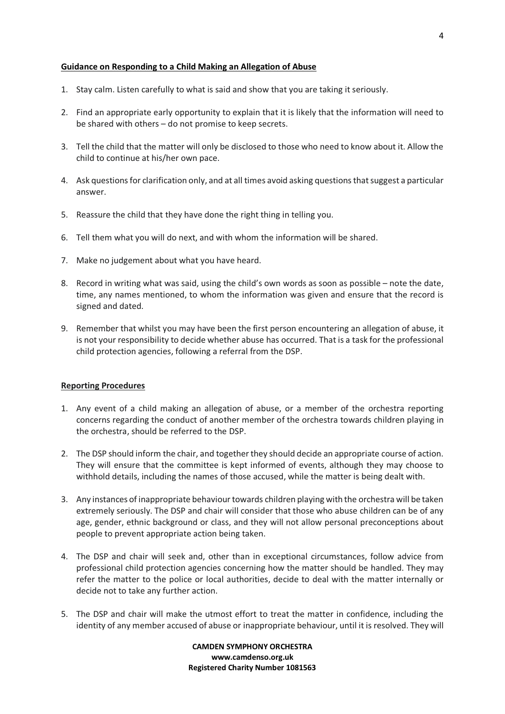### Guidance on Responding to a Child Making an Allegation of Abuse

- 1. Stay calm. Listen carefully to what is said and show that you are taking it seriously.
- 2. Find an appropriate early opportunity to explain that it is likely that the information will need to be shared with others – do not promise to keep secrets.
- 3. Tell the child that the matter will only be disclosed to those who need to know about it. Allow the child to continue at his/her own pace.
- 4. Ask questions for clarification only, and at all times avoid asking questions that suggest a particular answer.
- 5. Reassure the child that they have done the right thing in telling you.
- 6. Tell them what you will do next, and with whom the information will be shared.
- 7. Make no judgement about what you have heard.
- 8. Record in writing what was said, using the child's own words as soon as possible note the date, time, any names mentioned, to whom the information was given and ensure that the record is signed and dated.
- 9. Remember that whilst you may have been the first person encountering an allegation of abuse, it is not your responsibility to decide whether abuse has occurred. That is a task for the professional child protection agencies, following a referral from the DSP.

### Reporting Procedures

- 1. Any event of a child making an allegation of abuse, or a member of the orchestra reporting concerns regarding the conduct of another member of the orchestra towards children playing in the orchestra, should be referred to the DSP.
- 2. The DSP should inform the chair, and together they should decide an appropriate course of action. They will ensure that the committee is kept informed of events, although they may choose to withhold details, including the names of those accused, while the matter is being dealt with.
- 3. Any instances of inappropriate behaviour towards children playing with the orchestra will be taken extremely seriously. The DSP and chair will consider that those who abuse children can be of any age, gender, ethnic background or class, and they will not allow personal preconceptions about people to prevent appropriate action being taken.
- 4. The DSP and chair will seek and, other than in exceptional circumstances, follow advice from professional child protection agencies concerning how the matter should be handled. They may refer the matter to the police or local authorities, decide to deal with the matter internally or decide not to take any further action.
- 5. The DSP and chair will make the utmost effort to treat the matter in confidence, including the identity of any member accused of abuse or inappropriate behaviour, until it is resolved. They will